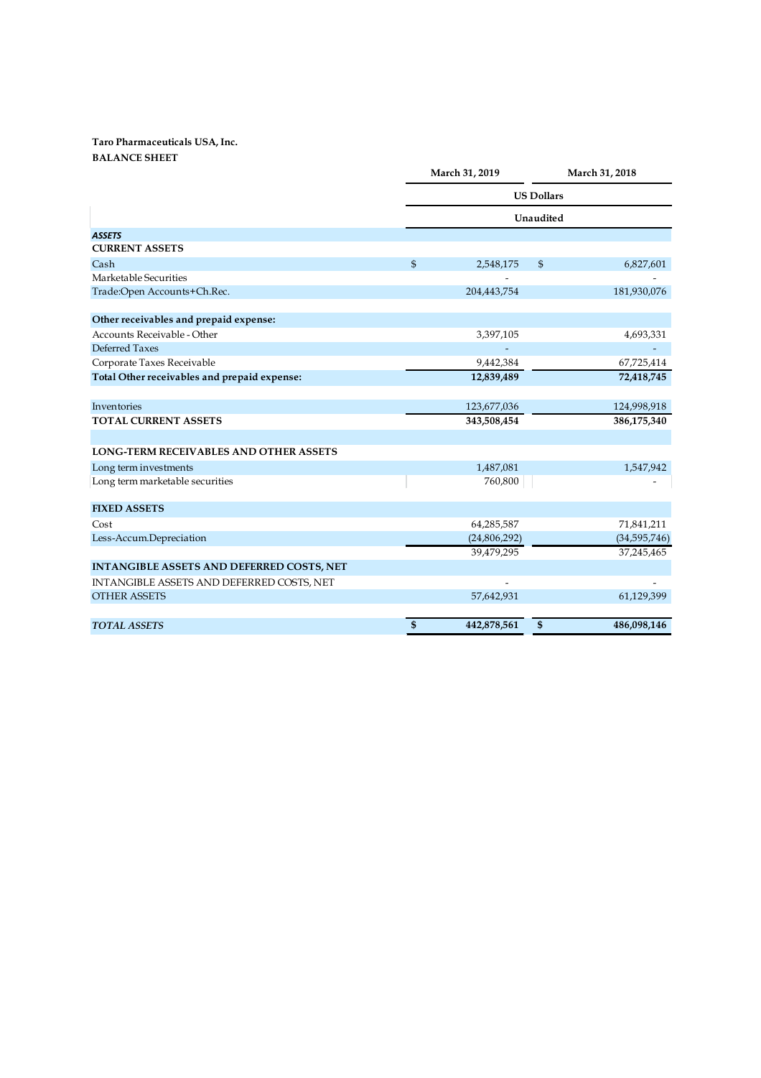## Taro Pharmaceuticals USA, Inc. BALANCE SHEET

|                                                  | March 31, 2019    |              | March 31, 2018 |                |
|--------------------------------------------------|-------------------|--------------|----------------|----------------|
|                                                  | <b>US Dollars</b> |              |                |                |
|                                                  | Unaudited         |              |                |                |
| <b>ASSETS</b>                                    |                   |              |                |                |
| <b>CURRENT ASSETS</b>                            |                   |              |                |                |
| Cash                                             | \$                | 2,548,175    | \$             | 6,827,601      |
| Marketable Securities                            |                   |              |                |                |
| Trade:Open Accounts+Ch.Rec.                      |                   | 204,443,754  |                | 181,930,076    |
| Other receivables and prepaid expense:           |                   |              |                |                |
| Accounts Receivable - Other                      |                   | 3,397,105    |                | 4,693,331      |
| Deferred Taxes                                   |                   |              |                |                |
| Corporate Taxes Receivable                       |                   | 9,442,384    |                | 67,725,414     |
| Total Other receivables and prepaid expense:     |                   | 12,839,489   |                | 72,418,745     |
| Inventories                                      |                   | 123,677,036  |                | 124,998,918    |
| <b>TOTAL CURRENT ASSETS</b>                      |                   | 343,508,454  |                | 386,175,340    |
| <b>LONG-TERM RECEIVABLES AND OTHER ASSETS</b>    |                   |              |                |                |
| Long term investments                            |                   | 1,487,081    |                | 1,547,942      |
| Long term marketable securities                  |                   | 760,800      |                |                |
| <b>FIXED ASSETS</b>                              |                   |              |                |                |
| Cost                                             |                   | 64,285,587   |                | 71,841,211     |
| Less-Accum.Depreciation                          |                   | (24,806,292) |                | (34, 595, 746) |
|                                                  |                   | 39,479,295   |                | 37,245,465     |
| <b>INTANGIBLE ASSETS AND DEFERRED COSTS, NET</b> |                   |              |                |                |
| INTANGIBLE ASSETS AND DEFERRED COSTS, NET        |                   |              |                |                |
| <b>OTHER ASSETS</b>                              |                   | 57,642,931   |                | 61,129,399     |
| <b>TOTAL ASSETS</b>                              | \$                | 442,878,561  | $\mathbf{\$}$  | 486,098,146    |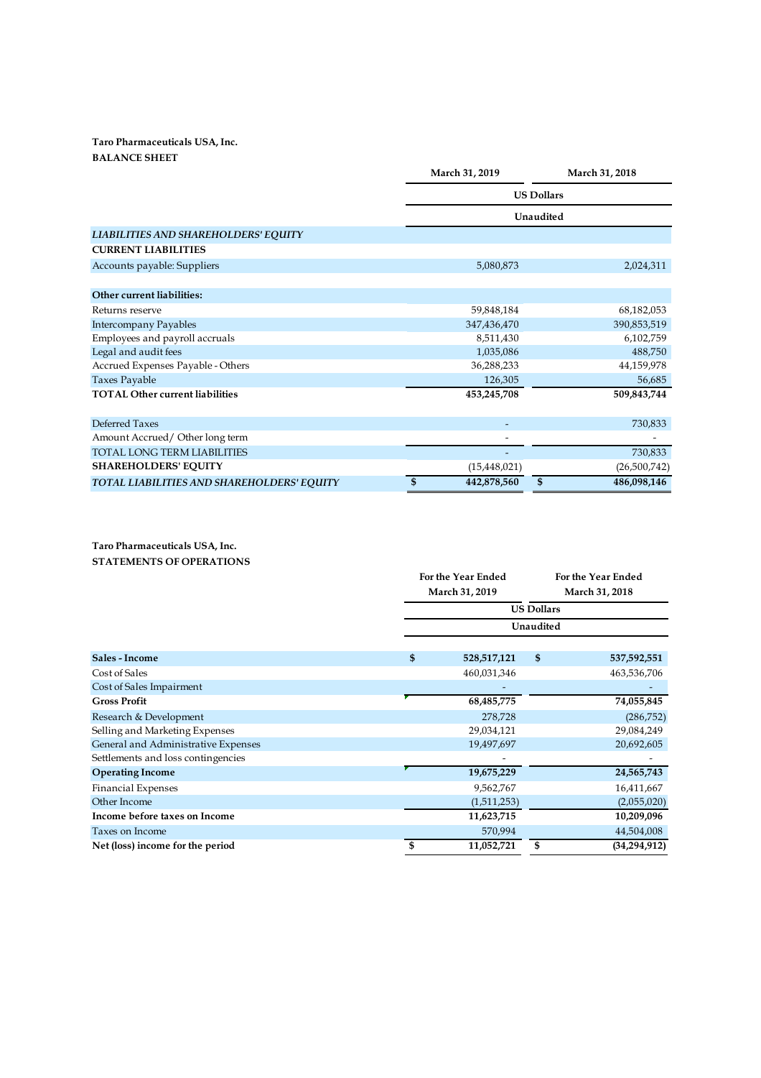## Taro Pharmaceuticals USA, Inc. BALANCE SHEET

|                                            | March 31, 2019    | March 31, 2018    |  |  |
|--------------------------------------------|-------------------|-------------------|--|--|
|                                            | <b>US Dollars</b> |                   |  |  |
|                                            |                   | Unaudited         |  |  |
| LIABILITIES AND SHAREHOLDERS' EQUITY       |                   |                   |  |  |
| <b>CURRENT LIABILITIES</b>                 |                   |                   |  |  |
| Accounts payable: Suppliers                | 5,080,873         | 2,024,311         |  |  |
|                                            |                   |                   |  |  |
| Other current liabilities:                 |                   |                   |  |  |
| Returns reserve                            | 59,848,184        | 68,182,053        |  |  |
| <b>Intercompany Payables</b>               | 347,436,470       | 390,853,519       |  |  |
| Employees and payroll accruals             | 8,511,430         | 6,102,759         |  |  |
| Legal and audit fees                       | 1,035,086         | 488,750           |  |  |
| Accrued Expenses Payable - Others          | 36,288,233        | 44,159,978        |  |  |
| <b>Taxes Payable</b>                       | 126,305           | 56,685            |  |  |
| <b>TOTAL Other current liabilities</b>     | 453,245,708       | 509,843,744       |  |  |
| Deferred Taxes                             |                   | 730,833           |  |  |
| Amount Accrued/Other long term             |                   |                   |  |  |
| TOTAL LONG TERM LIABILITIES                |                   | 730,833           |  |  |
| <b>SHAREHOLDERS' EQUITY</b>                | (15,448,021)      | (26,500,742)      |  |  |
| TOTAL LIABILITIES AND SHAREHOLDERS' EQUITY | \$<br>442,878,560 | \$<br>486,098,146 |  |  |

Taro Pharmaceuticals USA, Inc. STATEMENTS OF OPERATIONS

|                                     |    | For the Year Ended<br>March 31, 2019 |    | For the Year Ended<br>March 31, 2018 |  |
|-------------------------------------|----|--------------------------------------|----|--------------------------------------|--|
|                                     |    |                                      |    |                                      |  |
|                                     |    | <b>US Dollars</b>                    |    |                                      |  |
|                                     |    | Unaudited                            |    |                                      |  |
| Sales - Income                      | \$ | 528,517,121                          | \$ | 537,592,551                          |  |
| Cost of Sales                       |    | 460,031,346                          |    | 463,536,706                          |  |
| Cost of Sales Impairment            |    |                                      |    |                                      |  |
| <b>Gross Profit</b>                 |    | 68,485,775                           |    | 74,055,845                           |  |
| Research & Development              |    | 278,728                              |    | (286,752)                            |  |
| Selling and Marketing Expenses      |    | 29,034,121                           |    | 29,084,249                           |  |
| General and Administrative Expenses |    | 19,497,697                           |    | 20,692,605                           |  |
| Settlements and loss contingencies  |    |                                      |    |                                      |  |
| <b>Operating Income</b>             |    | 19,675,229                           |    | 24,565,743                           |  |
| <b>Financial Expenses</b>           |    | 9,562,767                            |    | 16,411,667                           |  |
| Other Income                        |    | (1,511,253)                          |    | (2,055,020)                          |  |
| Income before taxes on Income       |    | 11,623,715                           |    | 10,209,096                           |  |
| Taxes on Income                     |    | 570,994                              |    | 44,504,008                           |  |
| Net (loss) income for the period    |    | 11,052,721                           | \$ | (34,294,912)                         |  |